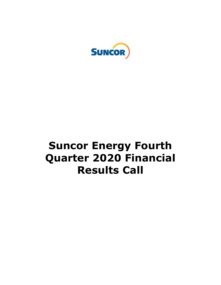

# **Suncor Energy Fourth Quarter 2020 Financial Results Call**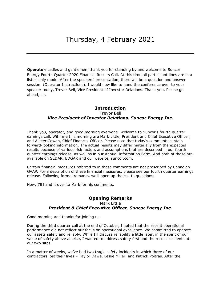**Operator:** Ladies and gentlemen, thank you for standing by and welcome to Suncor Energy Fourth Quarter 2020 Financial Results Call. At this time all participant lines are in a listen-only mode. After the speakers' presentation, there will be a question and answer session. (Operator Instructions). I would now like to hand the conference over to your speaker today, Trevor Bell, Vice President of Investor Relations. Thank you. Please go ahead, sir.

# Trevor Bell  *Vice President of Investor Relations, Suncor Energy Inc.*  **Introduction**

 Thank you, operator, and good morning everyone. Welcome to Suncor's fourth quarter earnings call. With me this morning are Mark Little, President and Chief Executive Officer; and Alister Cowan, Chief Financial Officer. Please note that today's comments contain forward-looking information. The actual results may differ materially from the expected results because of various risk factors and assumptions that are described in our fourth quarter earnings release, as well as in our Annual Information Form. And both of those are available on SEDAR, EDGAR and our website, [suncor.com](https://suncor.com).

 Certain financial measures referred to in these comments are not prescribed by Canadian GAAP. For a description of these financial measures, please see our fourth quarter earnings release. Following formal remarks, we'll open up the call to questions.

Now, I'll hand it over to Mark for his comments.

## **Opening Remarks**  Mark Little  *President & Chief Executive Officer, Suncor Energy Inc.*

Good morning and thanks for joining us.

 During the third quarter call at the end of October, I noted that the recent operational performance did not reflect our focus on operational excellence. We committed to operate our assets safely and reliably. While I'll discuss reliability a little later, in the spirit of our value of safety above all else, I wanted to address safety first and the recent incidents at our two sites.

 In a matter of weeks, we've had two tragic safety incidents in which three of our contractors lost their lives – Taylor Dawe, Leslie Miller, and Patrick Poitras. After the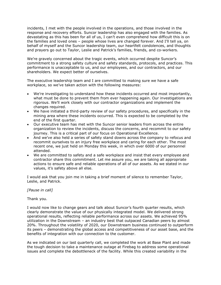incidents, I met with the people involved in the operations, and those involved in the response and recovery efforts. Suncor leadership has also engaged with the families. As devastating as this has been for all of us, I can't even comprehend how difficult this is on the families and loved ones – people whose lives are changed forever. And I'll tell ya, on behalf of myself and the Suncor leadership team, our heartfelt condolences, and thoughts and prayers go out to Taylor, Leslie and Patrick's families, friends, and co-workers.

 We're gravely concerned about the tragic events, which occurred despite Suncor's commitment to a strong safety culture and safety standards, protocols, and practices. This performance is unacceptable to us, and our employees, and our contractors, and our shareholders. We expect better of ourselves.

 The executive leadership team and I are committed to making sure we have a safe workplace, so we've taken action with the following measures:

- We're investigating to understand how these incidents occurred and most importantly, what must be done to prevent them from ever happening again. Our investigations are rigorous. We'll work closely with our contractor organizations and implement the changes required.
- We have initiated a third-party review of our safety procedures, and specifically in the mining area where these incidents occurred. This is expected to be completed by the end of the first quarter.
- Our executive team has met with the Suncor senior leaders from across the entire organization to review the incidents, discuss the concerns, and recommit to our safety journey. This is a critical part of our focus on Operational Excellence.
- And we've also held a series of safety stand downs across the company to refocus and recommit ourselves to an injury free workplace and caring for each other. The most recent one, we just held on Monday this week, in which over 6000 of our personnel attended.
- We are committed to safety and a safe workplace and insist that every employee and contractor share this commitment. Let me assure you, we are taking all appropriate actions to ensure safe and reliable operations of all of our assets. As we stated in our values, it's safety above all else.

 I would ask that you join me in taking a brief moment of silence to remember Taylor, Leslie, and Patrick.

#### *[Pause in call]*

#### Thank you.

 I would now like to change gears and talk about Suncor's fourth quarter results, which clearly demonstrate the value of our physically integrated model. We delivered strong operational results, reflecting reliable performance across our assets. We achieved 95% utilization in the Downstream – an industry best that outpaced Canadian peers by almost 20%. Throughout the volatility of 2020, our Downstream business continued to outperform its peers – demonstrating the global access and competitiveness of our asset base, and the benefits of integration with our connection to the customer.

 As we indicated on our last quarterly call, we completed the work at Base Plant and made the tough decision to take a maintenance outage at Firebag to address some operational issues and complete the debottleneck of the facility. While this created variability in the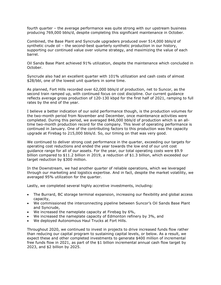fourth quarter – the average performance was quite strong with our upstream business producing 769,000 bbls/d, despite completing this significant maintenance in October.

 Combined, the Base Plant and Syncrude upgraders produced over 514,000 bbls/d of synthetic crude oil – the second-best quarterly synthetic production in our history, supporting our continued value over volume strategy, and maximizing the value of each barrel.

 Oil Sands Base Plant achieved 91% utilization, despite the maintenance which concluded in October.

October.<br>Syncrude also had an excellent quarter with 101% utilization and cash costs of almost \$28/bbl, one of the lowest unit quarters in some time.

 As planned, Fort Hills recorded over 62,000 bbls/d of production, net to Suncor, as the second train ramped up, with continued focus on cost discipline. Our current guidance reflects average gross production of 120-130 kbpd for the first half of 2021, ramping to full rates by the end of the year.

 I believe a better indication of our solid performance though, is the production volumes for the two-month period from November and December, once maintenance activities were completed. During this period, we averaged 846,000 bbls/d of production which is an all- time two-month production record for the company. This level of operating performance is continued in January. One of the contributing factors to this production was the capacity upgrade at Firebag to 215,000 bbls/d. So, our timing on that was very good.

 We continued to deliver strong cost performance in the quarter, exceeding our targets for operating cost reductions and ended the year towards the low end of our unit cost guidance range for all of our assets. For the year, our total operating costs were \$9.9 billion compared to \$11.2 billion in 2019, a reduction of \$1.3 billion, which exceeded our target reduction by \$300 million.

 In the Downstream, we had another quarter of reliable operations, which we leveraged through our marketing and logistics expertise. And in fact, despite the market volatility, we averaged 95% utilization for the quarter.

Lastly, we completed several highly accretive investments, including:

- The Burrard, BC storage terminal expansion, increasing our flexibility and global access capacity,
- We commissioned the interconnecting pipeline between Suncor's Oil Sands Base Plant and Syncrude,
- We increased the nameplate capacity at Firebag by 6%,
- We increased the nameplate capacity of Edmonton refinery by 3%, and
- We deployed Autonomous Haul Trucks at Fort Hills.

 Throughout 2020, we continued to invest in projects to drive increased funds flow rather than reducing our capital program to sustaining capital levels, or below. As a result, we expect these and other completed investments to generate \$400 million of incremental free funds flow in 2021, as part of the \$1 billion incremental annual cash flow target by 2023, and \$2 billion by 2025.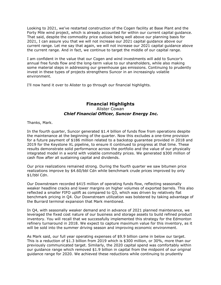Looking to 2021, we've restarted construction of the Cogen facility at Base Plant and the Forty Mile wind project, which is already accounted for within our current capital guidance. That said, despite the commodity price outlook being well above our planning basis for 2021, I can assure you that we will not increase our 2021 capital guidance above our current range. Let me say that again, we will not increase our 2021 capital guidance above the current range. And in fact, we continue to target the middle of our capital range.

 I am confident in the value that our Cogen and wind investments will add to Suncor's annual free funds flow and the long-term value to our shareholders, while also making some material steps in addressing our greenhouse gas emissions. Continuing to prudently invest in these types of projects strengthens Suncor in an increasingly volatile environment.

environment.<br>I'll now hand it over to Alister to go through our financial highlights.

## Alister Cowan  *Chief Financial Officer, Suncor Energy Inc.*  **Financial Highlights**

Thanks, Mark.

 In the fourth quarter, Suncor generated \$1.4 billion of funds flow from operations despite the maintenance at the beginning of the quarter. Now this excludes a one-time provision for a future payment of \$186 million related to a backstop guarantee provided in 2018 and 2019 for the Keystone XL pipeline, to ensure it continued to progress at that time. These results demonstrate solid performance across the portfolio and the value of our physically integrated model in a world with volatile commodity prices. We generated \$300 million of cash flow after all sustaining capital and dividends.

 Our price realizations remained strong. During the fourth quarter we saw bitumen price realizations improve by \$4.60/bbl Cdn while benchmark crude prices improved by only \$1/bbl Cdn.

 Our Downstream recorded \$415 million of operating funds flow, reflecting seasonally weaker headline cracks and lower margins on higher volumes of exported barrels. This also reflected a smaller FIFO uplift as compared to Q3, which was driven by relatively flat benchmark pricing in Q4. Our Downstream utilization was bolstered by taking advantage of the Burrard terminal expansion that Mark mentioned.

 In Q4, with seasonally weaker demand and in advance of 2021 planned maintenance, we leveraged the fixed cost nature of our business and storage assets to build refined product inventory. You will recall that we successfully implemented this strategy for the Edmonton refinery turnaround in 2018. We expect to capture maximum value for this inventory, as it will be sold into the summer driving season and improving economic environment.

 As Mark said, our full year operating expenses of \$9.9 billion came in below our target. This is a reduction of \$1.3 billion from 2019 which is \$300 million, or 30%, more than our previously communicated target. Similarly, the 2020 capital spend was comfortably within our guidance range which removed \$1.9 billion in capital from the midpoint of our original guidance range for 2020. We achieved these reductions while continuing to prudently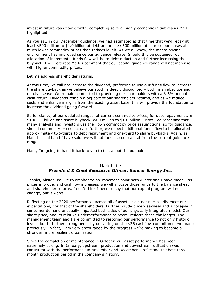invest in future cash flow growth, completing several highly economic initiatives as Mark highlighted.

highlighted.<br>As you saw in our December guidance, we had estimated at that time that we'd repay at least \$500 million to \$1.0 billion of debt and make \$500 million of share repurchases at much lower commodity prices than today's levels. As we all know, the macro pricing environment has improved since our guidance release. Should this be sustained, our allocation of incremental funds flow will be to debt reduction and further increasing the buyback. I will reiterate Mark's comment that our capital guidance range will not increase with higher commodity prices.

Let me address shareholder returns.

 At this time, we will not increase the dividend, preferring to use our funds flow to increase the share buyback as we believe our stock is deeply discounted – both in an absolute and relative sense. We remain committed to providing our shareholders with a 6-8% annual cash return. Dividends remain a big part of our shareholder returns, and as we reduce costs and enhance margins from the existing asset base, this will provide the foundation to increase the dividend going forward.

 So for clarity, at our updated ranges, at current commodity prices, for debt repayment are \$1.0-1.5 billion and share buyback \$500 million to \$1.0 billion – Now I do recognize that many analysts and investors use their own commodity price assumptions, so for guidance, should commodity prices increase further, we expect additional funds flow to be allocated approximately two-thirds to debt repayment and one-third to share buybacks. Again, as Mark has said and I have said, we will not increase our capital from the current guidance range.

range.<br>Mark, I'm going to hand it back to you to talk about the outlook.

## Mark Little  *President & Chief Executive Officer, Suncor Energy Inc.*

 Thanks, Alister. I'd like to emphasize an important point both Alister and I have made - as prices improve, and cashflow increases, we will allocate those funds to the balance sheet and shareholder returns. I don't think I need to say that our capital program will not change, but it won't.

 Reflecting on the 2020 performance, across all of assets it did not necessarily meet our expectations, nor that of the shareholders. Further, crude price weakness and a collapse in consumer demand unusually impacted both sides of our physically integrated model. Our share price, and its relative underperformance to peers, reflects these challenges. The management team and I are committed to restoring our performance to not only historic levels, but to further strengthen it by delivering on the \$2B cashflow commitment we made previously. In fact, I am very encouraged by the progress we're making to become a stronger, more resilient organization.

 Since the completion of maintenance in October, our asset performance has been extremely strong. In January, upstream production and downstream utilization was consistent with the performance in November and December – reflecting the best three-month production period in the company's history.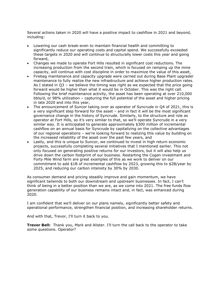Several actions taken in 2020 will have a positive impact to cashflow in 2021 and beyond, including:

- Lowering our cash break-even to maintain financial health and committing to significantly reduce our operating costs and capital spend. We successfully exceeded these targets in 2020 and will continue to structurally lower costs this year and going forward,
- Changes we made to operate Fort Hills resulted in significant cost reductions. The increasing production from the second train, which is focused on ramping up the mine capacity, will continue with cost discipline in order to maximize the value of this asset,
- Firebag maintenance and capacity upgrade were carried out during Base Plant upgrader maintenance to fully realize the new infrastructure and achieve higher production rates. As I stated in Q3 – we believe the timing was right as we expected that the price going forward would be higher than what it would be in October. This was the right call. Following the brief maintenance activity, the asset has been operating at over 210,000 bbls/d, or 98% utilization – capturing the full potential of the asset and higher pricing in late 2020 and into this year,
- The announcement of Suncor taking over as operator of Syncrude in Q4 of 2021, this is a very significant step forward for the asset – and in fact it will be the most significant governance change in the history of Syncrude. Similarly, to the structure and role as operator at Fort Hills, so it's very similar to that, so we'll operate Syncrude in a very similar way. It is anticipated to generate approximately \$300 million of incremental cashflow on an annual basis for Syncrude by capitalizing on the collective advantages of our regional operations – we're looking forward to realizing this value by building on the increased reliability of the asset over the past few years, and
- Lastly, and this is unique to Suncor, we continued to invest in high return economic projects, successfully completing several initiatives that I mentioned earlier. This not only focused on generating positive returns for our investors, but it will also help us drive down the carbon footprint of our business. Restarting the Cogen investment and Forty Mile Wind farm are great examples of this as we work to deliver on our commitment to add \$1B of incremental cashflow by 2023, growing this to \$2B/year by 2025, and reducing our carbon intensity by 30% by 2030.

 As consumer demand and pricing steadily improve and gain momentum, we have significant tailwinds to both our downstream and upstream businesses. In fact, I can't think of being in a better position than we are, as we come into 2021. The free funds flow generation capability of our business remains intact and, in fact, was enhanced during 2020.

2020.<br>I am confident that we'll deliver on our plans namely, significantly better safety and operational performance, strengthen financial position, and increasing shareholder returns.

And with that, Trevor, I'll turn it back to you.

 **Trevor Bell:** Thank you, Mark and Alister. I'll turn the call back to the operator to take some questions. Operator?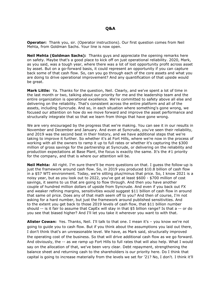**Operator:** Thank you, sir. (Operator instructions). Our first question comes from Neil Mehta, from Goldman Sachs. Your line is now open.

 **Neil Mehta (Goldman Sachs):** Thanks guys and appreciate the opening remarks here on safety. Maybe that's a good place to kick off on just operational reliability. 2020, Mark, as you said, was a tough year, where there was a lot of lost opportunity profit across asset by asset. But on a go-forward basis, it could represent an opportunity if you can capture back some of that cash flow. So, can you go through each of the core assets and what you are doing to drive operational improvement? And any quantification of that upside would be great.

 **Mark Little:** Ya. Thanks for the question, Neil. Clearly, and we've spent a lot of time in the last month or two, talking about our priority for me and the leadership team and the entire organization is operational excellence. We're committed to safety above all else and delivering on the reliability. That's consistent across the entire platform and all of the assets, including Syncrude. And so, in each situation where something's gone wrong, we focused our attention on how do we move forward and improve the asset performance and structurally integrate that so that we learn from things that have gone wrong.

 We are very encouraged by the progress that we're making. You can see it in our results in November and December and January. And even at Syncrude, you've seen their reliability, and 2019 was the second best in their history, and we have additional steps that we're taking to improve it further. So whether it's at Fort Hills, where we're now in the process of working with all the owners to ramp it up to full rates or whether it's capturing the \$300 million of gross savings for the partnership at Syncrude, or delivering on the reliability and production expectations at Base Plant, the focus is exactly the same. It's the #1 priority for the company, and that is where our attention will be.

 **Neil Mehta:** All right. I'm sure there'll be more questions on that. I guess the follow-up is just the framework around cash flow. So, in 2019 you produced \$10.8 billion of cash flow in a \$57 WTI environment. Today, we're sitting plus/minus that price. So, I know 2021 is a noisy year, but as you look out to 2022, you've got at least \$600 - \$700 million of cost savings, it seems to us that are going to flow through. And then you have another couple of hundred million dollars of upside from Syncrude. And even if you back out FX and weaker refining margins, sensitivities would suggest \$11 billion of cash flow in around that same oil price. Does any of that math seem off to you? And then of course, I'm not asking for a hard number, but just the framework around published sensitivities. And to the extent you get back to those 2019 levels of cash flow, that \$11 billion number should -- is it fair to assume that CapEx will stay in that \$5 billion range? Is that a -- or do you see that biased higher? And I'll let you take it wherever you want to with that.

 **Alister Cowan:** Yes. Thanks, Neil. I'll talk to that one. I mean it's – you know we're not going to guide you to cash flow. But if you think about the assumptions you laid out there, I don't think that's an unreasonable level. We have, as Mark said, structurally improved the operating cost of the business. So that will drive additional cash flow as we go forward. And obviously, the -- as we ramp up Fort Hills to full rates that will also help. What I would say on the allocation of that, we've been very clear. Debt repayment, strengthening the balance sheet and returning cash to the shareholders is our priority here. Do I think that capital is going to increase materially from the levels we set for '21? No, I don't. I think it'll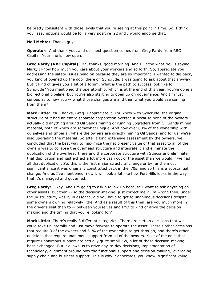be pretty consistent with those levels that you're seeing at this point in time. So, I think your assumptions would be for a very positive '22 and I would endorse that.

**Neil Mehta:** Thanks guys.

 **Operator:** And thank you, and our next question comes from Greg Pardy from RBC Capital. Your line is now open.

 **Greg Pardy (RBC Capital):** Ya, thanks, good morning. And I'll echo what Neil is saying, Mark, I know how much you care about your workers and so forth. So, appreciate you addressing the safety issues head on because they are so important. I wanted to dig back, you kind of opened up the door there on Syncrude. I was going to ask about that anyway. But it kind of gives you a bit of a forum. What is the path to success look like for Syncrude? You mentioned the operatorship, which is at the end of this year, you've done a bidirectional pipeline, but you're also starting to open up on governance. And I'm just curious as to how you -- what those changes are and then what you would see coming from them?

 **Mark Little:** Ya. Thanks, Greg. I appreciate it. You know with Syncrude, the original structure of it had an entire separate corporation oversee it because none of the owners actually did anything around Oil Sands mining or running upgraders from Oil Sands mined material, both of which are somewhat unique. And now over 80% of the ownership with ourselves and Imperial, where the owners are directly mining Oil Sands, and for us, we're also upgrading the material. So after a long extensive assessment by the owners, we concluded that the best way to maximize the net present value of that asset to all of the owners was to collapse the overhead structure and integrate it and eliminate the duplication of the overhead there and the corporate structure with Suncor and eliminate that duplication and just extract a lot more cash out of the asset than we would if we had all that duplication. So, this is the first major structural change or by far the most significant since it was originally constituted back in the '70s, and so this is a substantial change. And as I've mentioned, now it will look a lot like how Fort Hills looks in the way that it's managed and governed.

 **Greg Pardy:** Okay. And I'm going to ask a follow-up because I want to ask anything on other assets. But then -- so the decision-making, just correct me if I'm wrong then, under the JV structure, was it, in essence, did you have to get to unanimous decisions despite some owners owning relatively little. And as a result of this then, are you much more in the driver's seat than to -- between yourselves and IMO to kind of drive the decision making and the timing that you're looking for?

 **Mark Little:** There's really 3 different categories. There are certain decisions that we could take unilaterally and just move forward to operate the asset. There's other decisions that require 3 of the owners and 51% of the ownership to get through, and there's other decisions that require unanimous support from all of the owners. Most of the ones that require unanimous support are actually quite small. So, a lot of these decision-making hasn't changed. But it allows us to drive day-to-day decisions, implementation of technology, alignment around how the functional support and decision making, leveraging supply chain and business support. This is why it generates, you know, significant value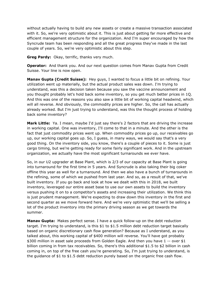without actually having to build any new assets or create a massive transaction associated with it. So, we're very optimistic about it. This is just about getting far more effective and efficient management structure for the organization. And I'm super encouraged by how the Syncrude team has been responding and all the great progress they've made in the last couple of years. So, we're very optimistic about this step.

**Greg Pardy:** Okay, terrific, thanks very much.

 **Operator:** And thank you. And our next question comes from Manav Gupta from Credit Suisse. Your line is now open.

 **Manav Gupta (Credit Suisse):** Hey guys, I wanted to focus a little bit on refining. Your utilization went up materially, but the actual product sales was down. I'm trying to understand, was this a decision taken because you saw the vaccine announcement and you thought probably let's hold back some inventory, so you get much better prices in 1Q. And this was one of the reasons you also saw a little bit of working capital headwind, which will all reverse. And obviously, the commodity prices are higher. So, the call has actually already worked. But I'm just trying to understand, was this the thought process of holding back some inventory?

 **Mark Little:** Ya. I mean, maybe I'd just say there's 2 factors that are driving the increase in working capital. One was inventory, I'll come to that in a minute. And the other is the fact that just commodity prices went up. When commodity prices go up, our receivables go up, our working capital goes up. So, I guess, in many ways, we would say that's a very good thing. On the inventory side, you know, there's a couple of pieces to it. Some is just cargo timing, but we're getting ready for some fairly significant work. And in the upstream organization, we actually have the most significant turnarounds we ever have.

 So, in our U2 upgrader at Base Plant, which is 2/3 of our capacity at Base Plant is going into turnaround for the first time in 5 years. And Syncrude is also taking their big coker offline this year as well for a turnaround. And then we also have a bunch of turnarounds in the refining, some of which we pushed from last year. And so, as a result of that, we've built inventory. If you go back and look at how we dealt with this in 2018, we built inventory, leveraged our entire asset base to use our own assets to build the inventory versus pushing it on to a competitor's assets and increasing their utilization. We think this is just prudent management. We're expecting to draw down this inventory in the first and second quarter as we move forward here. And we're very optimistic that we'll be selling a lot of the product inventory into the primary driving season as we get towards the summer.

**Manav Gupta:** Makes perfect sense. I have a quick follow-up on the debt reduction target. I'm trying to understand, is this \$1 to \$1.5 million debt reduction target basically based on organic discretionary cash flow generation? Because as I understand, as you talked about, this working capital of \$400 million will reverse. You'll have got probably \$300 million in asset sale proceeds from Golden Eagle. And then you have 1 -- over \$1 billion coming in from tax receivables. So, there's this additional \$1.5 to \$2 billion in cash coming in, on top of the free cash you're generating. So, I'm just trying to understand, is the guidance of \$1 to \$1.5 debt reduction purely based on the organic free cash flow.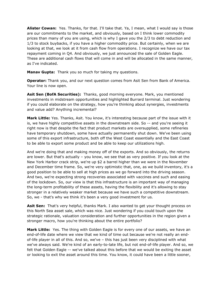**Alister Cowan:** Yes. Thanks, for that. I'll take that. Ya, I mean, what I would say is those are our commitments to the market, and obviously, based on I think lower commodity prices than many of you are using, which is why I gave you the 2/3 to debt reduction and 1/3 to stock buybacks, if you have a higher commodity price. But certainly, when we are looking at that, we look at it from cash flow from operations. I recognize we have our tax repayment coming in Q4. And obviously, we just announced the sale of Golden Eagle. These are additional cash flows that will come in and will be allocated in the same manner, as I've indicated.

**Manav Gupta:** Thank you so much for taking my questions.

 **Operator:** Thank you, and our next question comes from Asit Sen from Bank of America. Your line is now open.

 **Asit Sen (BofA Securities):** Thanks, good morning everyone. Mark, you mentioned investments in midstream opportunities and highlighted Burrard terminal. Just wondering if you could elaborate on the strategy, how you're thinking about synergies, investments and value add? Anything incremental?

 **Mark Little:** Yes. Thanks, Asit. You know, it's interesting because part of the issue with it is, we have highly competitive assets in the downstream side. So -- and you're seeing it right now is that despite the fact that product markets are oversupplied, some refineries have temporary shutdown, some have actually permanently shut down. We've been using some of this export infrastructure, both off the West Coast essentially and the East Coast to be able to export some product and be able to keep our utilizations high.

 And we're doing that and making money off of the exports. And so obviously, the returns are lower. But that's actually – you know, we see that as very positive. If you look at the New York Harbor crack strip, we're up \$2 a barrel higher than we were in the November and December time frame. So, we're very optimistic that, one, as we build inventory, it's a good position to be able to sell at high prices as we go forward into the driving season. And two, we're expecting strong recoveries associated with vaccines and such and easing of the lockdown. So, our view is that this infrastructure is an important way of managing the long-term profitability of these assets, having the flexibility and it's allowing to stay stronger in a relatively weaker market because we have such a competitive downstream. So, we - that's why we think it's been a very good investment for us.

 **Asit Sen:** That's very helpful, thanks Mark. I also wanted to get your thought process on this North Sea asset sale, which was nice. Just wondering if you could touch upon the strategic rationale, valuation consideration and further opportunities in the region given a stronger macro, how you're thinking about the entire portfolio?

 **Mark Little:** Yes. The thing with Golden Eagle is for every one of our assets, we have an end-of-life date where we view that we kind of time out because we're not really an end- of-life player in all of this. And so, we've – this has just been very disciplined with what we've always said. We're kind of an early-to-late life, but not end-of-life player. And so, we felt that Golden Eagle -- we've talked about this before that we would be exiting the asset or looking to exit the asset around this time. You know, it could have been a little sooner,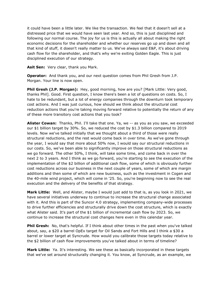it could have been a little later. We like the transaction. We feel that it doesn't sell at a distressed price that we would have seen last year. And so, this is just disciplined and following our normal course. The joy for us is this is actually all about making the right economic decisions for the shareholder and whether our reserves go up and down and all that kind of stuff, it doesn't really matter to us. We've always said E&P, it's about driving cash flow for the shareholder, and that's why we're exiting Golden Eagle. This is just disciplined execution of our strategy.

**Asit Sen:** Very clear, thank you Mark.

 **Operator:** And thank you, and our next question comes from Phil Gresh from J.P. Morgan. Your line is now open.

 **Phil Gresh (J.P. Morgan):** Hey, good morning, how are you? [Mark Little: Very good, thanks Phil]. Good. First question, I know there's been a lot of questions on costs. So, I hate to be redundant, but a lot of energy companies through the downturn took temporary cost actions. And I was just curious, how should we think about the structural cost reduction actions that you're taking moving forward relative to potentially the return of any of these more transitory cost actions that you took?

 **Alister Cowan:** Thanks, Phil. I'll take that one. Ya, we -- as you as you saw, we exceeded our \$1 billion target by 30%. So, we reduced the cost by \$1.3 billion compared to 2019 levels. Now we've talked initially that we thought about a third of those were really structural reductions, and the rest would come back in over time. As we've gone through the year, I would say that more about 50% now, I would say our structural reductions in our costs. So, we've been able to significantly improve on those structural reductions as we go forward. The other 50%, I think, will take some time, and come back in over the next 2 to 3 years. And I think as we go forward, you're starting to see the execution of the implementation of the \$2 billion of additional cash flow, some of which is obviously further cost reductions across our business in the next couple of years, some of which are margin additions and then some of which are new business, such as the investment in Cogen and the 40-mile wind project, which will come in '25. So, you're beginning now to see the real execution and the delivery of the benefits of that strategy.

 **Mark Little:** Well, and Alister, maybe I would just add to that is, as you look in 2021, we have several initiatives underway to continue to increase the structural change associated with it. And this is part of the Suncor 4.0 strategy, implementing company-wide processes to drive further efficiencies and structurally drive down the cost structure, which is exactly what Alister said. It's part of the \$1 billion of incremental cash flow by 2023. So, we continue to increase the structural cost changes here even in this calendar year.

 **Phil Gresh:** No, that's helpful. If I think about other times in the past when you've talked about, say, a \$20 a barrel OpEx target for Oil Sands and Fort Hills and I think a \$30 a barrel or lower target at Syncrude. How would you calibrate those targets today relative to the \$2 billion of cash flow improvements you've talked about in terms of timeline?

 **Mark Little:** Ya. It's interesting. We see these as basically incorporated in these targets that we've set around structurally changing it. You know, at Syncrude, as an example, we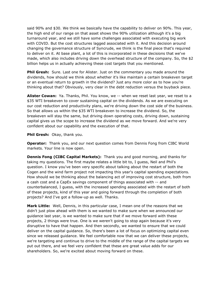said 90% and \$30. We think we basically have the capability to deliver on 90%. This year, the high end of our range on that asset shows the 90% utilization although it's a big turnaround year, and we still have some challenges associated with executing big work with COVID. But the cost structures lagged associated with it. And this decision around changing the governance structure of Syncrude, we think is the final piece that's required to deliver on it. At base plant, a lot of this is incorporated in these decisions that we've made, which also includes driving down the overhead structure of the company. So, the \$2 billion helps us in actually achieving these cost targets that you mentioned.

 **Phil Gresh:** Sure. Last one for Alister. Just on the commentary you made around the dividends, how should we think about whether it's like maintain a certain breakeven target or an eventual return to growth in the dividend? Just any more color as to how you're thinking about that? Obviously, very clear in the debt reduction versus the buyback piece.

 **Alister Cowan:** Ya. Thanks, Phil. You know, we -- when we reset last year, we reset to a \$35 WTI breakeven to cover sustaining capital on the dividends. As we are executing on our cost reduction and productivity plans, we're driving down the cost side of the business. So that allows us within the \$35 WTI breakeven to increase the dividend. So, the breakeven will stay the same, but driving down operating costs, driving down, sustaining capital gives us the scope to increase the dividend as we move forward. And we're very confident about our capability and the execution of that.

#### **Phil Gresh:** Okay, thank you.

 **Operator:** Thank you, and our next question comes from Dennis Fong from CIBC World markets. Your line is now open.

 **Dennis Fong (CIBC Capital Markets):** Thank you and good morning, and thanks for taking my questions. The first maybe relates a little bit to, I guess, Neil and Phil's question. I know you've been very specific about talking about the restart of both the Cogen and the wind farm project not impacting this year's capital spending expectations. How should we be thinking about the balancing act of improving cost structure, both from a cash cost and a CapEx savings component of things associated with -- and counterbalanced, I guess, with the increased spending associated with the restart of both of these projects, kind of this year and going forward through the completion of both projects? And I've got a follow-up as well. Thanks.

 **Mark Little:** Well, Dennis, in this particular case, I mean one of the reasons that we didn't just plow ahead with them is we wanted to make sure when we announced our guidance last year, is we wanted to make sure that if we move forward with these projects, 2 things were true. One is we weren't going to stop again because it's very disruptive to have that happen. And then secondly, we wanted to ensure that we could deliver on the capital guidance. So, there's been a lot of focus on optimizing capital even since we released guidance. We feel comfortable now that we can deliver these projects, we're targeting and continue to drive to the middle of the range of the capital targets we put out there, and we feel very confident that these are great value adds for our shareholders. So, we're excited about moving forward on these.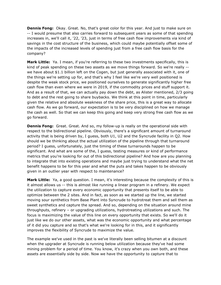**Dennis Fong:** Okay. Great. No, that's great color for this year. And just to make sure on -- I would presume that also carries forward to subsequent years as some of that spending increases in, we'll call it, '22, '23, just in terms of free cash flow improvements via kind of savings in the cost structure of the business, which could maybe potentially offset some of the impacts of the increased levels of spending just from a free cash flow basis for the company?

 **Mark Little:** Ya. I mean, if you're referring to these two investments specifically, this is kind of peak spending on these two assets as we move things forward. So we're really -- we have about \$1.1 billion left on the Cogen, but just generally associated with it, one of the things we're setting up for, and that's why I feel like we're very well positioned is despite the weak stock price, we positioned ourselves to generate significantly higher free cash flow than even where we were in 2019, if the commodity prices and stuff support it. And as a result of that, we can actually pay down the debt, as Alister mentioned, 2/3 going to debt and the rest going to share buybacks. We think at this point in time, particularly given the relative and absolute weakness of the share price, this is a great way to allocate cash flow. As we go forward, our expectation is to be very disciplined on how we manage the cash as well. So that we can keep this going and keep very strong free cash flow as we go forward.

 **Dennis Fong:** Great. Great. And so, my follow-up is really on the operational side with respect to the bidirectional pipeline. Obviously, there's a significant amount of turnaround activity that is being driven by, I guess, both U1, U2 and the Syncrude facility in Q2. How should we be thinking about the actual utilization of the pipeline through that turnaround period? I guess, unfortunately, just the timing of these turnarounds happen to be significant. And what are some of the, I guess, testing measures or kind of performance metrics that you're looking for out of this bidirectional pipeline? And how are you planning to integrate that into existing operations and maybe just trying to understand what the net benefit happens to be for this year and what the puts and takes happen to be obviously given in an outlier year with respect to maintenance?

 **Mark Little:** Ya, a good question. I mean, it's interesting because the complexity of this is it almost allows us -- this is almost like running a linear program in a refinery. We expect the utilization to capture every economic opportunity that presents itself to be able to optimize between the 2 sites. And in fact, as soon as we started up the line, we started moving sour synthetics from Base Plant into Syncrude to hydrotreat them and sell them as sweet synthetics and capture the spread. And so, depending on the situation around mine throughputs, refinery – or upgrading utilizations, hydrotreating utilizations and such. The focus is maximizing the value of this line on every opportunity that exists. So we'll do it just like we do our other assets, what was the economic opportunity and what percentage of it did you capture and so that's what we're looking for in this, and it significantly improves the flexibility of Syncrude to maximize the value.

 The example we've used in the past is we've literally been selling bitumen at a discount when the upgrader at Syncrude is running below utilization because they've had some mining problem for a period of time. You know, it's crazy when you own both, and these assets are essentially side by side. Now we have the opportunity to capture that to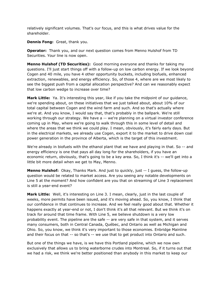relatively significant volumes. That's our focus, and this is what drives value for the shareholder.

**Dennis Fong:** Great, thank you.

 **Operator:** Thank you, and our next question comes from Menno Hulshof from TD Securities. Your line is now open.

 **Menno Hulshof (TD Securities):** Good morning everyone and thanks for taking my questions. I'll just start things off with a follow-up on low carbon energy. If we look beyond Cogen and 40 mile, you have 4 other opportunity buckets, including biofuels, enhanced extraction, renewables, and energy efficiency. So, of those 4, where are we most likely to see the biggest push from a capital allocation perspective? And can we reasonably expect that low carbon wedge to increase over time?

 **Mark Little:** Ya. It's interesting this year, like if you take the midpoint of our guidance, we're spending about, on these initiatives that we just talked about, about 10% of our total capital between Cogen and the wind farm and such. And so that's actually where we're at. And you know, I would say that, that's probably in the ballpark. We're still working through our strategy. We have a -- we're planning on a virtual investor conference coming up in May, where we're going to walk through this in some level of detail and where the areas that we think we could play. I mean, obviously, it's fairly early days. But in the electrical markets, we already use Cogen, export it to the market to drive down coal power generation in the province of Alberta, which is the target of this investment.

 We're already in biofuels with the ethanol plant that we have and playing in that. So -- and energy efficiency is one that pays all day long for the shareholders, if you have an economic return, obviously, that's going to be a key area. So, I think it's -- we'll get into a little bit more detail when we get to May, Menno.

 **Menno Hulshof:** Okay, Thanks Mark. And just to quickly, just -- I guess, the follow-up question would be related to market access. Are you seeing any notable developments on Line 5 at the moment? And how confident are you that on streaming of Line 3 replacement is still a year-end event?

 **Mark Little:** Well, it's interesting on Line 3. I mean, clearly, just in the last couple of weeks, more permits have been issued, and it's moving ahead. So, you know, I think that our confidence in that continues to increase. And we feel really good about that. Whether it happens exactly at year-end or not, I don't think it's all that relevant. But we think it's on track for around that time frame. With Line 5, we believe shutdown is a very low probability event. The pipeline are the safe -- are very safe in that system, and it serves many consumers, both in Central Canada, Québec, and Ontario as well as Michigan and Ohio. So, you know, we think it's very important to those economies. Enbridge Mainline and their focus on that -- so that's -- we use that to get product into Ontario and such.

 But one of the things we have, is we have this Portland pipeline, which we now own exclusively that allows us to bring waterborne crudes into Montreal. So, if it turns out that we had a risk, we think we're better positioned than anybody in this market to keep our